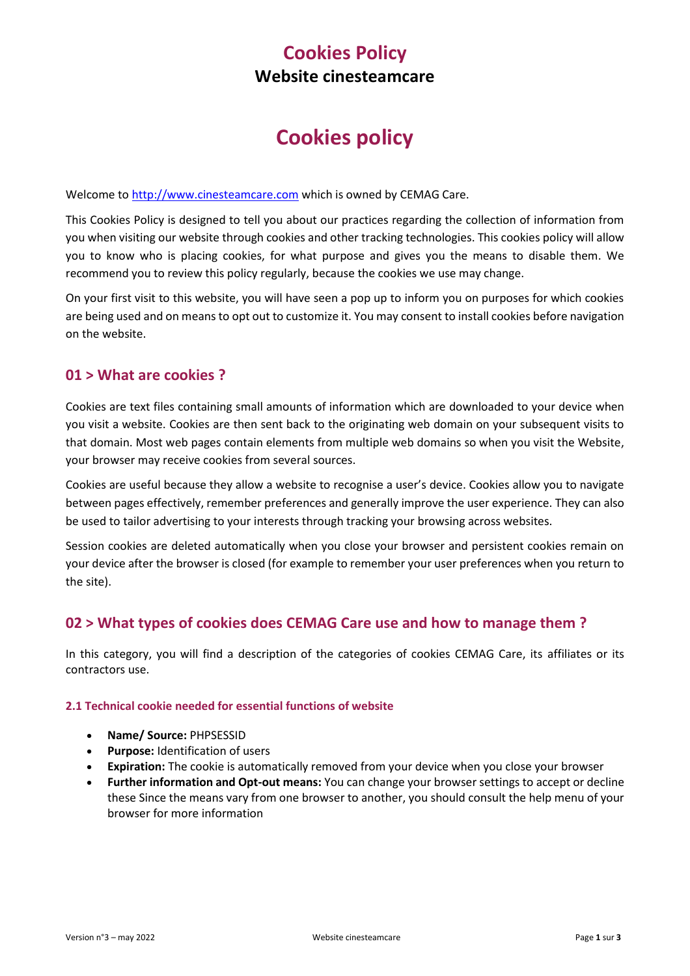# **Cookies Policy Website cinesteamcare**

# **Cookies policy**

Welcome t[o http://www.cinesteamcare.com](http://www.cinesteamcare.comw/) which is owned by CEMAG Care.

This Cookies Policy is designed to tell you about our practices regarding the collection of information from you when visiting our website through cookies and other tracking technologies. This cookies policy will allow you to know who is placing cookies, for what purpose and gives you the means to disable them. We recommend you to review this policy regularly, because the cookies we use may change.

On your first visit to this website, you will have seen a pop up to inform you on purposes for which cookies are being used and on means to opt out to customize it. You may consent to install cookies before navigation on the website.

## **01 > What are cookies ?**

Cookies are text files containing small amounts of information which are downloaded to your device when you visit a website. Cookies are then sent back to the originating web domain on your subsequent visits to that domain. Most web pages contain elements from multiple web domains so when you visit the Website, your browser may receive cookies from several sources.

Cookies are useful because they allow a website to recognise a user's device. Cookies allow you to navigate between pages effectively, remember preferences and generally improve the user experience. They can also be used to tailor advertising to your interests through tracking your browsing across websites.

Session cookies are deleted automatically when you close your browser and persistent cookies remain on your device after the browser is closed (for example to remember your user preferences when you return to the site).

## **02 > What types of cookies does CEMAG Care use and how to manage them ?**

In this category, you will find a description of the categories of cookies CEMAG Care, its affiliates or its contractors use.

#### **2.1 Technical cookie needed for essential functions of website**

- **Name/ Source:** PHPSESSID
- **Purpose:** Identification of users
- **Expiration:** The cookie is automatically removed from your device when you close your browser
- **Further information and Opt-out means:** You can change your browser settings to accept or decline these Since the means vary from one browser to another, you should consult the help menu of your browser for more information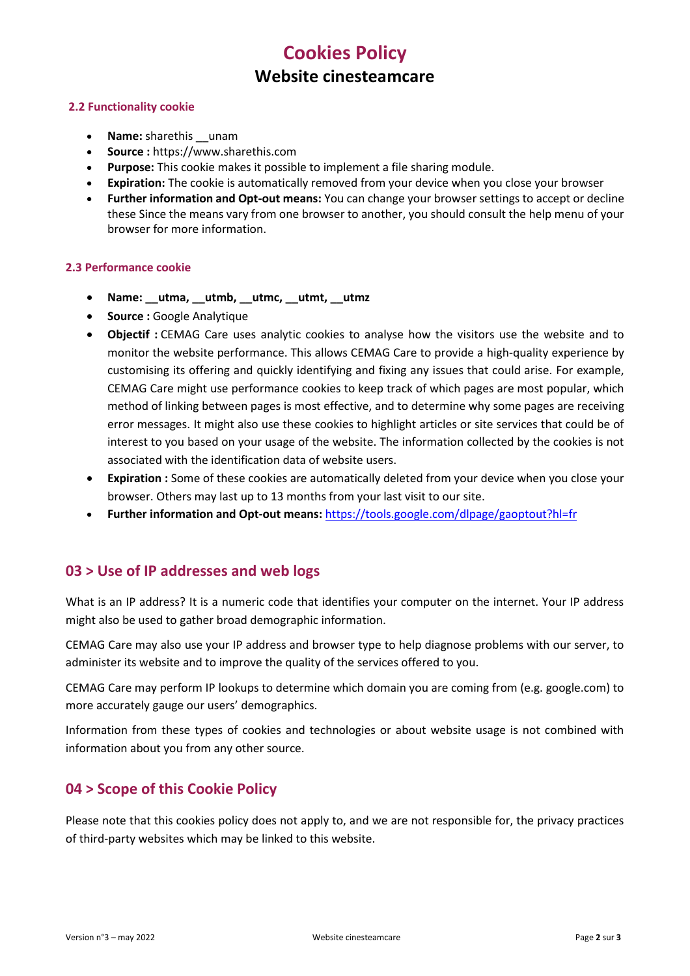## **Cookies Policy Website cinesteamcare**

#### **2.2 Functionality cookie**

- **Name:** sharethis \_\_unam
- **Source :** https://www.sharethis.com
- **Purpose:** This cookie makes it possible to implement a file sharing module.
- **Expiration:** The cookie is automatically removed from your device when you close your browser
- **Further information and Opt-out means:** You can change your browser settings to accept or decline these Since the means vary from one browser to another, you should consult the help menu of your browser for more information.

#### **2.3 Performance cookie**

- **Name: \_\_utma, \_\_utmb, \_\_utmc, \_\_utmt, \_\_utmz**
- **Source :** Google Analytique
- **Objectif :** CEMAG Care uses analytic cookies to analyse how the visitors use the website and to monitor the website performance. This allows CEMAG Care to provide a high-quality experience by customising its offering and quickly identifying and fixing any issues that could arise. For example, CEMAG Care might use performance cookies to keep track of which pages are most popular, which method of linking between pages is most effective, and to determine why some pages are receiving error messages. It might also use these cookies to highlight articles or site services that could be of interest to you based on your usage of the website. The information collected by the cookies is not associated with the identification data of website users.
- **Expiration :** Some of these cookies are automatically deleted from your device when you close your browser. Others may last up to 13 months from your last visit to our site.
- **Further information and Opt-out means:** <https://tools.google.com/dlpage/gaoptout?hl=fr>

## **03 > Use of IP addresses and web logs**

What is an IP address? It is a numeric code that identifies your computer on the internet. Your IP address might also be used to gather broad demographic information.

CEMAG Care may also use your IP address and browser type to help diagnose problems with our server, to administer its website and to improve the quality of the services offered to you.

CEMAG Care may perform IP lookups to determine which domain you are coming from (e.g. google.com) to more accurately gauge our users' demographics.

Information from these types of cookies and technologies or about website usage is not combined with information about you from any other source.

## **04 > Scope of this Cookie Policy**

Please note that this cookies policy does not apply to, and we are not responsible for, the privacy practices of third-party websites which may be linked to this website.